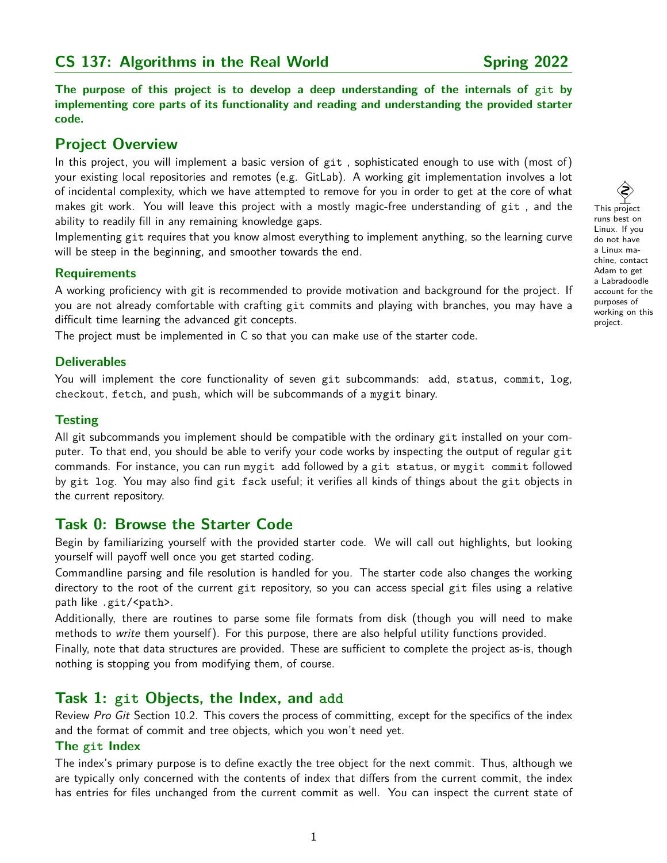# **CS 137: Algorithms in the Real World Spring 2022**

**The purpose of this project is to develop a deep understanding of the internals of git by implementing core parts of its functionality and reading and understanding the provided starter code.**

# **Project Overview**

In this project, you will implement a basic version of git , sophisticated enough to use with (most of) your existing local repositories and remotes (e.g. GitLab). A working git implementation involves a lot of incidental complexity, which we have attempted to remove for you in order to get at the core of what makes git work. You will leave this project with a mostly magic-free understanding of git , and the ability to readily fill in any remaining knowledge gaps.

Implementing git requires that you know almost everything to implement anything, so the learning curve will be steep in the beginning, and smoother towards the end.

## **Requirements**

A working proficiency with git is recommended to provide motivation and background for the project. If you are not already comfortable with crafting git commits and playing with branches, you may have a difficult time learning the advanced git concepts.

The project must be implemented in C so that you can make use of the starter code.

## **Deliverables**

You will implement the core functionality of seven git subcommands: add, status, commit, log, checkout, fetch, and push, which will be subcommands of a mygit binary.

## **Testing**

All git subcommands you implement should be compatible with the ordinary git installed on your computer. To that end, you should be able to verify your code works by inspecting the output of regular git commands. For instance, you can run mygit add followed by a git status, or mygit commit followed by git log. You may also find git fsck useful; it verifies all kinds of things about the git objects in the current repository.

# **Task 0: Browse the Starter Code**

Begin by familiarizing yourself with the provided starter code. We will call out highlights, but looking yourself will payoff well once you get started coding.

Commandline parsing and file resolution is handled for you. The starter code also changes the working directory to the root of the current git repository, so you can access special git files using a relative path like .git/<path>.

Additionally, there are routines to parse some file formats from disk (though you will need to make methods to write them yourself). For this purpose, there are also helpful utility functions provided.

Finally, note that data structures are provided. These are sufficient to complete the project as-is, though nothing is stopping you from modifying them, of course.

# **Task 1: git Objects, the Index, and add**

Review Pro Git Section 10.2. This covers the process of committing, except for the specifics of the index and the format of commit and tree objects, which you won't need yet.

## **The git Index**

The index's primary purpose is to define exactly the tree object for the next commit. Thus, although we are typically only concerned with the contents of index that differs from the current commit, the index has entries for files unchanged from the current commit as well. You can inspect the current state of

 This project runs best on Linux. If you do not have a Linux machine, contact Adam to get a Labradoodle account for the purposes of working on this project.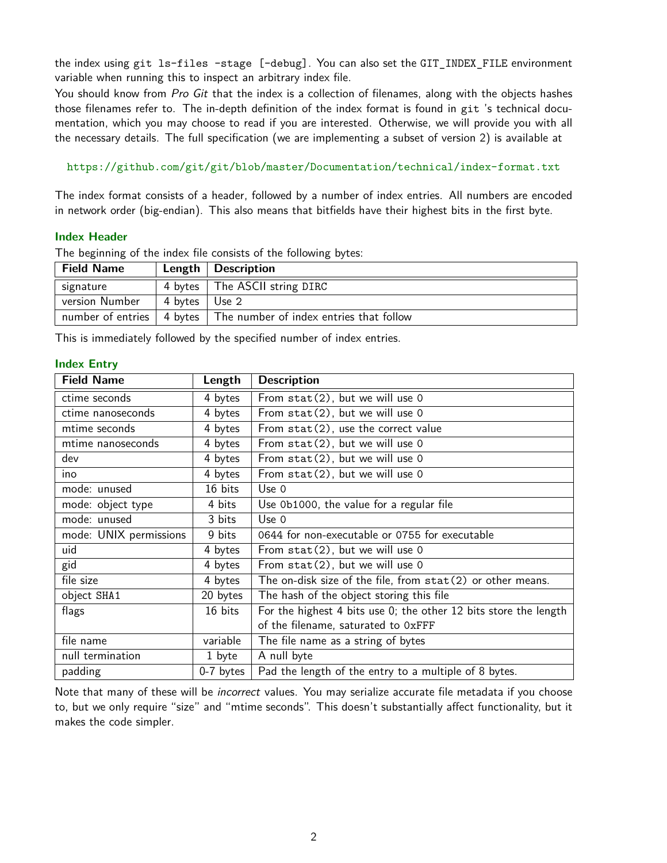the index using git ls-files –stage [–debug]. You can also set the GIT\_INDEX\_FILE environment variable when running this to inspect an arbitrary index file.

You should know from Pro Git that the index is a collection of filenames, along with the objects hashes those filenames refer to. The in-depth definition of the index format is found in git 's technical documentation, which you may choose to read if you are interested. Otherwise, we will provide you with all the necessary details. The full specification (we are implementing a subset of version 2) is available at

<https://github.com/git/git/blob/master/Documentation/technical/index-format.txt>

The index format consists of a header, followed by a number of index entries. All numbers are encoded in network order (big-endian). This also means that bitfields have their highest bits in the first byte.

#### **Index Header**

| <b>Field Name</b> |         | Length $\vert$ Description                      |  |
|-------------------|---------|-------------------------------------------------|--|
| signature         |         | 4 bytes   The ASCII string DIRC                 |  |
| version Number    | 4 bytes | Use 2                                           |  |
| number of entries |         | 4 bytes The number of index entries that follow |  |

The beginning of the index file consists of the following bytes:

This is immediately followed by the specified number of index entries.

#### **Index Entry**

| <b>Field Name</b>      | Length      | <b>Description</b>                                               |
|------------------------|-------------|------------------------------------------------------------------|
| ctime seconds          | 4 bytes     | From stat(2), but we will use 0                                  |
| ctime nanoseconds      | 4 bytes     | From $stat(2)$ , but we will use 0                               |
| mtime seconds          | 4 bytes     | From $stat(2)$ , use the correct value                           |
| mtime nanoseconds      | 4 bytes     | From $stat(2)$ , but we will use 0                               |
| dev                    | 4 bytes     | From stat(2), but we will use 0                                  |
| ino                    | 4 bytes     | From $stat(2)$ , but we will use 0                               |
| mode: unused           | 16 bits     | Use 0                                                            |
| mode: object type      | 4 bits      | Use 0b1000, the value for a regular file                         |
| mode: unused           | 3 bits      | Use $0$                                                          |
| mode: UNIX permissions | 9 bits      | 0644 for non-executable or 0755 for executable                   |
| uid                    | 4 bytes     | From $stat(2)$ , but we will use 0                               |
| gid                    | 4 bytes     | From $stat(2)$ , but we will use 0                               |
| file size              | 4 bytes     | The on-disk size of the file, from $stat(2)$ or other means.     |
| object SHA1            | 20 bytes    | The hash of the object storing this file                         |
| flags                  | 16 bits     | For the highest 4 bits use 0; the other 12 bits store the length |
|                        |             | of the filename, saturated to OxFFF                              |
| file name              | variable    | The file name as a string of bytes                               |
| null termination       | 1 byte      | A null byte                                                      |
| padding                | $0-7$ bytes | Pad the length of the entry to a multiple of 8 bytes.            |

Note that many of these will be *incorrect* values. You may serialize accurate file metadata if you choose to, but we only require "size" and "mtime seconds". This doesn't substantially affect functionality, but it makes the code simpler.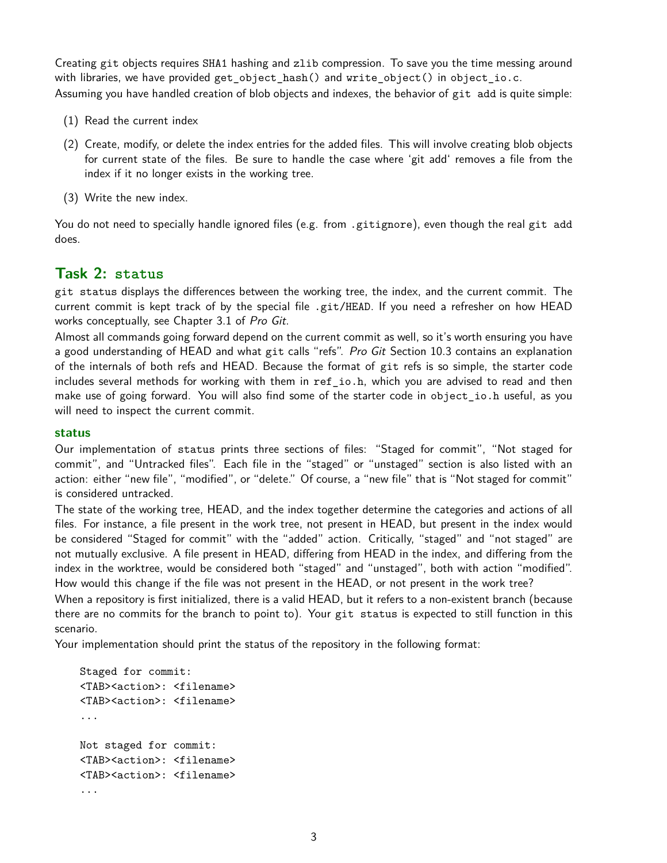Creating git objects requires SHA1 hashing and zlib compression. To save you the time messing around with libraries, we have provided get\_object\_hash() and write\_object() in object\_io.c. Assuming you have handled creation of blob objects and indexes, the behavior of git add is quite simple:

- (1) Read the current index
- (2) Create, modify, or delete the index entries for the added files. This will involve creating blob objects for current state of the files. Be sure to handle the case where 'git add' removes a file from the index if it no longer exists in the working tree.
- (3) Write the new index.

You do not need to specially handle ignored files (e.g. from .gitignore), even though the real git add does.

# **Task 2: status**

git status displays the differences between the working tree, the index, and the current commit. The current commit is kept track of by the special file .git/HEAD. If you need a refresher on how HEAD works conceptually, see Chapter 3.1 of Pro Git.

Almost all commands going forward depend on the current commit as well, so it's worth ensuring you have a good understanding of HEAD and what git calls "refs". Pro Git Section 10.3 contains an explanation of the internals of both refs and HEAD. Because the format of git refs is so simple, the starter code includes several methods for working with them in ref\_io.h, which you are advised to read and then make use of going forward. You will also find some of the starter code in object\_io.h useful, as you will need to inspect the current commit.

## **status**

Our implementation of status prints three sections of files: "Staged for commit", "Not staged for commit", and "Untracked files". Each file in the "staged" or "unstaged" section is also listed with an action: either "new file", "modified", or "delete." Of course, a "new file" that is "Not staged for commit" is considered untracked.

The state of the working tree, HEAD, and the index together determine the categories and actions of all files. For instance, a file present in the work tree, not present in HEAD, but present in the index would be considered "Staged for commit" with the "added" action. Critically, "staged" and "not staged" are not mutually exclusive. A file present in HEAD, differing from HEAD in the index, and differing from the index in the worktree, would be considered both "staged" and "unstaged", both with action "modified". How would this change if the file was not present in the HEAD, or not present in the work tree?

When a repository is first initialized, there is a valid HEAD, but it refers to a non-existent branch (because there are no commits for the branch to point to). Your git status is expected to still function in this scenario.

Your implementation should print the status of the repository in the following format:

```
Staged for commit:
<TAB><action>: <filename>
<TAB><action>: <filename>
...
Not staged for commit:
<TAB><action>: <filename>
<TAB><action>: <filename>
...
```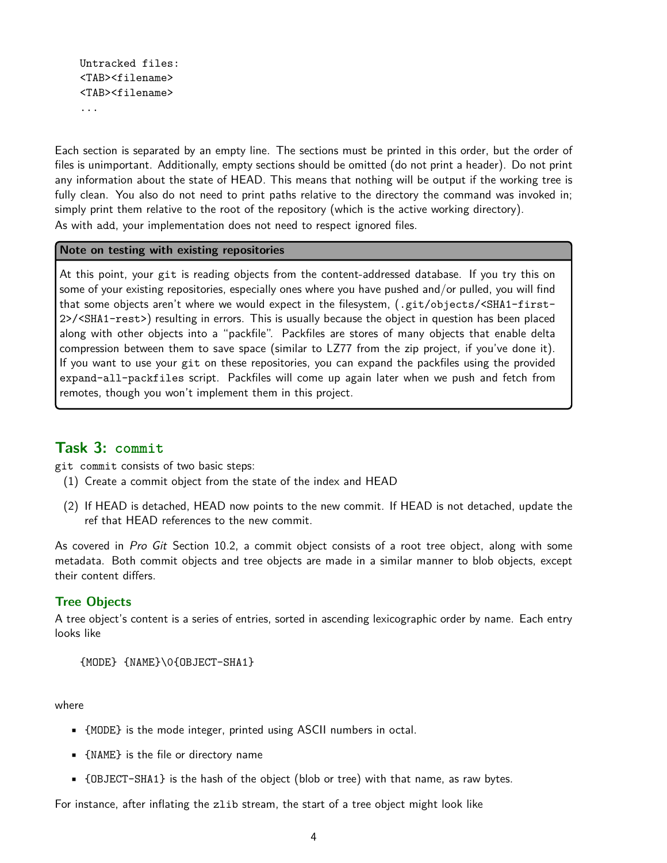```
Untracked files:
<TAB><filename>
<TAB><filename>
...
```
Each section is separated by an empty line. The sections must be printed in this order, but the order of files is unimportant. Additionally, empty sections should be omitted (do not print a header). Do not print any information about the state of HEAD. This means that nothing will be output if the working tree is fully clean. You also do not need to print paths relative to the directory the command was invoked in; simply print them relative to the root of the repository (which is the active working directory). As with add, your implementation does not need to respect ignored files.

#### **Note on testing with existing repositories**

At this point, your git is reading objects from the content-addressed database. If you try this on some of your existing repositories, especially ones where you have pushed and/or pulled, you will find that some objects aren't where we would expect in the filesystem, (.git/objects/<SHA1-first-2>/<SHA1-rest>) resulting in errors. This is usually because the object in question has been placed along with other objects into a "packfile". Packfiles are stores of many objects that enable delta compression between them to save space (similar to LZ77 from the zip project, if you've done it). If you want to use your git on these repositories, you can expand the packfiles using the provided expand-all-packfiles script. Packfiles will come up again later when we push and fetch from remotes, though you won't implement them in this project.

## **Task 3: commit**

git commit consists of two basic steps:

- (1) Create a commit object from the state of the index and HEAD
- (2) If HEAD is detached, HEAD now points to the new commit. If HEAD is not detached, update the ref that HEAD references to the new commit.

As covered in Pro Git Section 10.2, a commit object consists of a root tree object, along with some metadata. Both commit objects and tree objects are made in a similar manner to blob objects, except their content differs.

## **Tree Objects**

A tree object's content is a series of entries, sorted in ascending lexicographic order by name. Each entry looks like

```
{MODE} {NAME}\0{OBJECT-SHA1}
```
where

- {MODE} is the mode integer, printed using ASCII numbers in octal.
- {NAME} is the file or directory name
- {OBJECT-SHA1} is the hash of the object (blob or tree) with that name, as raw bytes.

For instance, after inflating the zlib stream, the start of a tree object might look like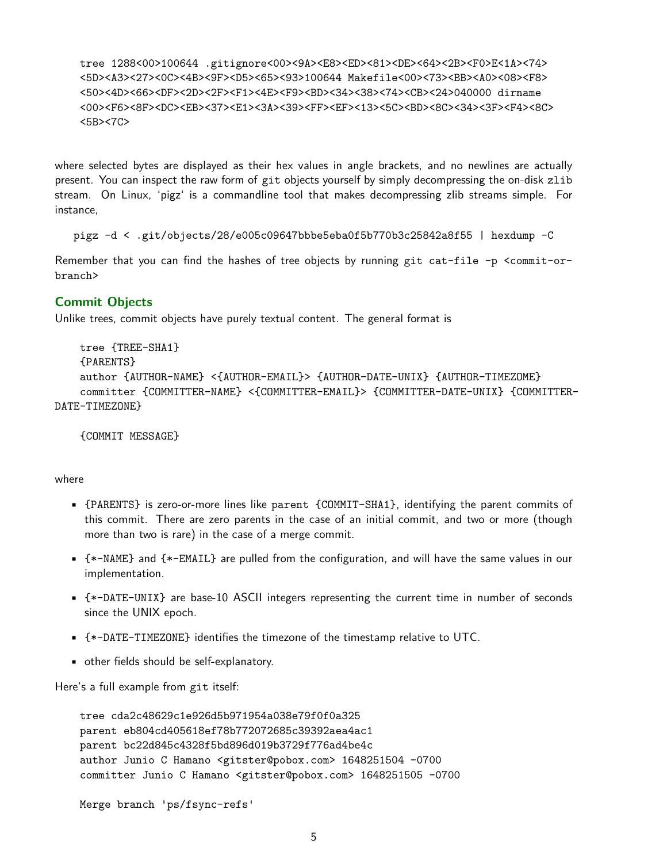tree 1288<00>100644 .gitignore<00><9A><E8><ED><81><DE><64><2B><F0>E<1A><74> <5D><A3><27><0C><4B><9F><D5><65><93>100644 Makefile<00><73><BB><A0><08><F8> <50><4D><66><DF><2D><2F><F1><4E><F9><BD><34><38><74><CB><24>040000 dirname <00><F6><8F><DC><EB><37><E1><3A><3A><3P><F4><5C><F4><5C><5C><SD><8D><34><3F><F4><8C> <5B><7C>

where selected bytes are displayed as their hex values in angle brackets, and no newlines are actually present. You can inspect the raw form of git objects yourself by simply decompressing the on-disk zlib stream. On Linux, 'pigz' is a commandline tool that makes decompressing zlib streams simple. For instance,

pigz -d < .git/objects/28/e005c09647bbbe5eba0f5b770b3c25842a8f55 | hexdump -C

Remember that you can find the hashes of tree objects by running git cat-file -p <commit-orbranch>

### **Commit Objects**

Unlike trees, commit objects have purely textual content. The general format is

```
tree {TREE-SHA1}
    {PARENTS}
    author {AUTHOR-NAME} <{AUTHOR-EMAIL}> {AUTHOR-DATE-UNIX} {AUTHOR-TIMEZOME}
    committer {COMMITTER-NAME} <{COMMITTER-EMAIL}> {COMMITTER-DATE-UNIX} {COMMITTER-
DATE-TIMEZONE}
```
{COMMIT MESSAGE}

#### where

- {PARENTS} is zero-or-more lines like parent {COMMIT-SHA1}, identifying the parent commits of this commit. There are zero parents in the case of an initial commit, and two or more (though more than two is rare) in the case of a merge commit.
- $*$   $*$ -NAME} and  $*$ -EMAIL} are pulled from the configuration, and will have the same values in our implementation.
- {\*-DATE-UNIX} are base-10 ASCII integers representing the current time in number of seconds since the UNIX epoch.
- {\*-DATE-TIMEZONE} identifies the timezone of the timestamp relative to UTC.
- other fields should be self-explanatory.

Here's a full example from git itself:

```
tree cda2c48629c1e926d5b971954a038e79f0f0a325
parent eb804cd405618ef78b772072685c39392aea4ac1
parent bc22d845c4328f5bd896d019b3729f776ad4be4c
author Junio C Hamano <gitster@pobox.com> 1648251504 -0700
committer Junio C Hamano <gitster@pobox.com> 1648251505 -0700
```

```
Merge branch 'ps/fsync-refs'
```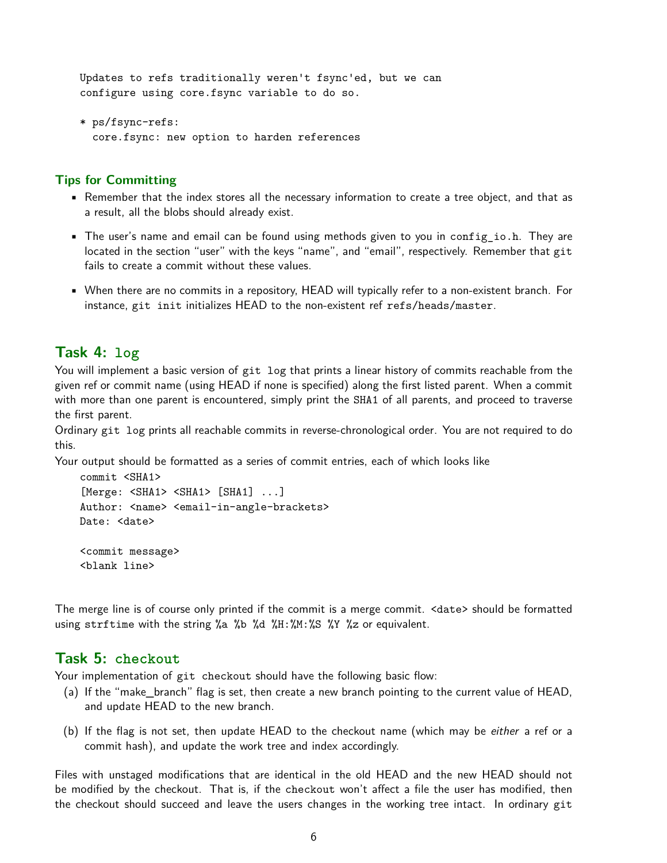Updates to refs traditionally weren't fsync'ed, but we can configure using core.fsync variable to do so.

```
* ps/fsync-refs:
 core.fsync: new option to harden references
```
## **Tips for Committing**

- Remember that the index stores all the necessary information to create a tree object, and that as a result, all the blobs should already exist.
- The user's name and email can be found using methods given to you in config\_io.h. They are located in the section "user" with the keys "name", and "email", respectively. Remember that git fails to create a commit without these values.
- When there are no commits in a repository, HEAD will typically refer to a non-existent branch. For instance, git init initializes HEAD to the non-existent ref refs/heads/master.

# **Task 4: log**

You will implement a basic version of git log that prints a linear history of commits reachable from the given ref or commit name (using HEAD if none is specified) along the first listed parent. When a commit with more than one parent is encountered, simply print the SHA1 of all parents, and proceed to traverse the first parent.

Ordinary git log prints all reachable commits in reverse-chronological order. You are not required to do this.

Your output should be formatted as a series of commit entries, each of which looks like

```
commit <SHA1>
[Merge: <SHA1> <SHA1> [SHA1] ...]
Author: <name> <email-in-angle-brackets>
Date: <date>
<commit message>
<blank line>
```
The merge line is of course only printed if the commit is a merge commit. <date> should be formatted using strftime with the string %a %b %d %H:%M:%S %Y %z or equivalent.

## **Task 5: checkout**

Your implementation of git checkout should have the following basic flow:

- (a) If the "make\_branch" flag is set, then create a new branch pointing to the current value of HEAD, and update HEAD to the new branch.
- (b) If the flag is not set, then update HEAD to the checkout name (which may be either a ref or a commit hash), and update the work tree and index accordingly.

Files with unstaged modifications that are identical in the old HEAD and the new HEAD should not be modified by the checkout. That is, if the checkout won't affect a file the user has modified, then the checkout should succeed and leave the users changes in the working tree intact. In ordinary git